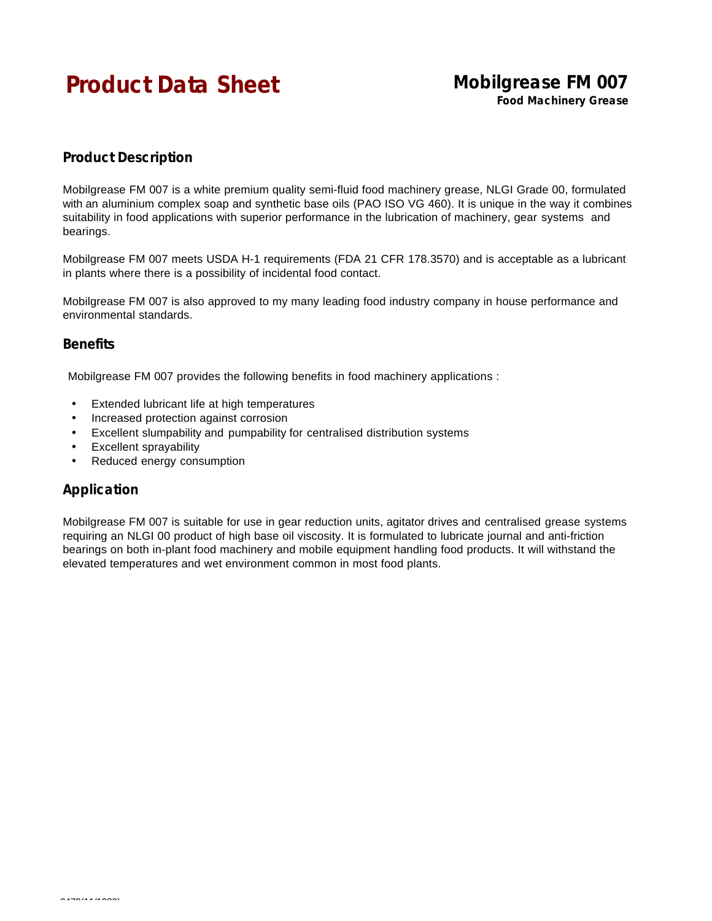# **Product Data Sheet** Mobilgrease FM 007

**Food Machinery Grease**

## **Product Description**

Mobilgrease FM 007 is a white premium quality semi-fluid food machinery grease, NLGI Grade 00, formulated with an aluminium complex soap and synthetic base oils (PAO ISO VG 460). It is unique in the way it combines suitability in food applications with superior performance in the lubrication of machinery, gear systems and bearings.

Mobilgrease FM 007 meets USDA H-1 requirements (FDA 21 CFR 178.3570) and is acceptable as a lubricant in plants where there is a possibility of incidental food contact.

Mobilgrease FM 007 is also approved to my many leading food industry company in house performance and environmental standards.

#### **Benefits**

Mobilgrease FM 007 provides the following benefits in food machinery applications :

- Extended lubricant life at high temperatures
- Increased protection against corrosion
- Excellent slumpability and pumpability for centralised distribution systems
- Excellent sprayability
- Reduced energy consumption

### **Application**

Mobilgrease FM 007 is suitable for use in gear reduction units, agitator drives and centralised grease systems requiring an NLGI 00 product of high base oil viscosity. It is formulated to lubricate journal and anti-friction bearings on both in-plant food machinery and mobile equipment handling food products. It will withstand the elevated temperatures and wet environment common in most food plants.